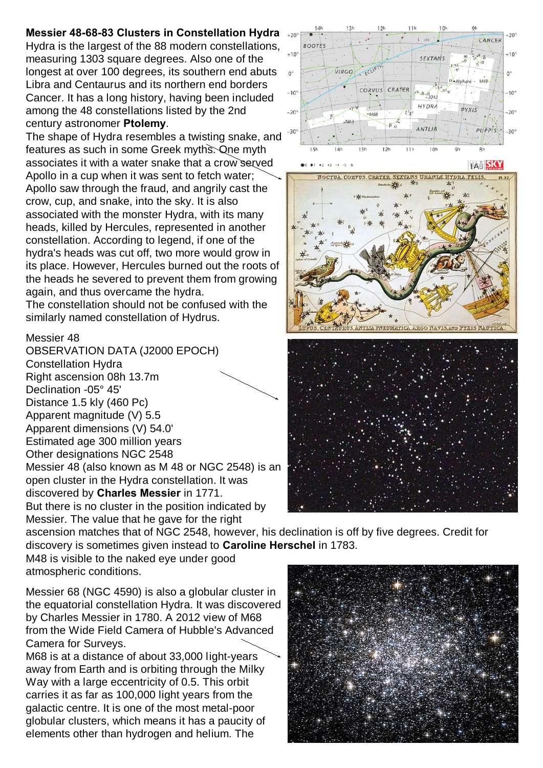## **Messier 48-68-83 Clusters in Constellation Hydra**

Hydra is the largest of the 88 modern constellations, measuring 1303 square degrees. Also one of the longest at over 100 degrees, its southern end abuts Libra and Centaurus and its northern end borders Cancer. It has a long history, having been included among the 48 constellations listed by the 2nd century astronomer **Ptolemy**.

The shape of Hydra resembles a twisting snake, and features as such in some Greek myths. One myth associates it with a water snake that a crow served Apollo in a cup when it was sent to fetch water; Apollo saw through the fraud, and angrily cast the crow, cup, and snake, into the sky. It is also associated with the monster Hydra, with its many heads, killed by Hercules, represented in another constellation. According to legend, if one of the hydra's heads was cut off, two more would grow in its place. However, Hercules burned out the roots of the heads he severed to prevent them from growing again, and thus overcame the hydra.

The constellation should not be confused with the similarly named constellation of Hydrus.

## Messier 48

OBSERVATION DATA (J2000 EPOCH) Constellation Hydra Right ascension 08h 13.7m Declination -05° 45' Distance 1.5 kly (460 Pc) Apparent magnitude (V) 5.5 Apparent dimensions (V) 54.0' Estimated age 300 million years Other designations NGC 2548 Messier 48 (also known as M 48 or NGC 2548) is an open cluster in the Hydra constellation. It was discovered by **Charles Messier** in 1771. But there is no cluster in the position indicated by Messier. The value that he gave for the right







ascension matches that of NGC 2548, however, his declination is off by five degrees. Credit for discovery is sometimes given instead to **Caroline Herschel** in 1783.

M48 is visible to the naked eye under good atmospheric conditions.

Messier 68 (NGC 4590) is also a globular cluster in the equatorial constellation Hydra. It was discovered by Charles Messier in 1780. A 2012 view of M68 from the Wide Field Camera of Hubble's Advanced Camera for Surveys.

M68 is at a distance of about 33,000 light-years away from Earth and is orbiting through the Milky Way with a large eccentricity of 0.5. This orbit carries it as far as 100,000 light years from the galactic centre. It is one of the most metal-poor globular clusters, which means it has a paucity of elements other than hydrogen and helium. The